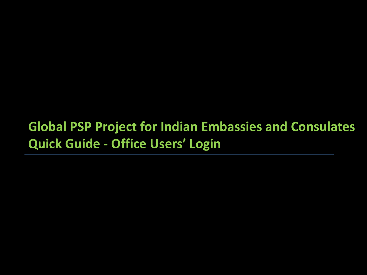### **Global PSP Project for Indian Embassies and Consulates Quick Guide - Office Users' Login**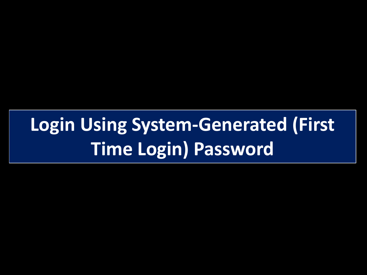# **Login Using System-Generated (First Time Login) Password**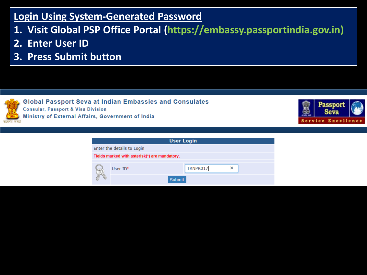#### **Login Using System-Generated Password**

- **1. Visit Global PSP Office Portal (https://embassy.passportindia.gov.in)**
- **2. Enter User ID**
- **3. Press Submit button**



**Global Passport Seva at Indian Embassies and Consulates Consular, Passport & Visa Division** Ministry of External Affairs, Government of India



| <b>User Login</b>                             |          |  |  |  |  |
|-----------------------------------------------|----------|--|--|--|--|
| Enter the details to Login                    |          |  |  |  |  |
| Fields marked with asterisk(*) are mandatory. |          |  |  |  |  |
|                                               |          |  |  |  |  |
| User $ID^*$                                   | TRNPR017 |  |  |  |  |
| <b>Submit</b>                                 |          |  |  |  |  |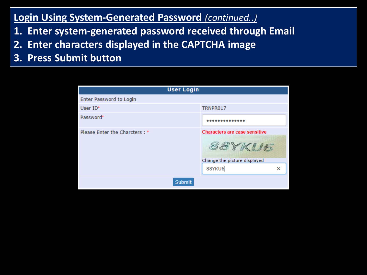#### **Login Using System-Generated Password** *(continued..)*

- **1. Enter system-generated password received through Email**
- **2. Enter characters displayed in the CAPTCHA image**
- **3. Press Submit button**

| <b>User Login</b>             |                                                                                               |
|-------------------------------|-----------------------------------------------------------------------------------------------|
| Enter Password to Login       |                                                                                               |
| User $ID^*$                   | TRNPR017                                                                                      |
| Password*                     |                                                                                               |
| Please Enter the Charcters: * | <b>Characters are case sensitive</b><br>88YKU6<br>Change the picture displayed<br>88YKU6<br>× |
| <b>Submit</b>                 |                                                                                               |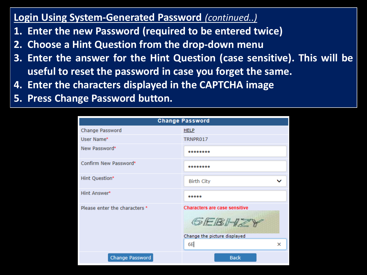#### **Login Using System-Generated Password** *(continued..)*

- **1. Enter the new Password (required to be entered twice)**
- **2. Choose a Hint Question from the drop-down menu**
- **3. Enter the answer for the Hint Question (case sensitive). This will be useful to reset the password in case you forget the same.**
- **4. Enter the characters displayed in the CAPTCHA image**
- **5. Press Change Password button.**

|                               | <b>Change Password</b>                                                                             |
|-------------------------------|----------------------------------------------------------------------------------------------------|
| Change Password               | <b>HELP</b>                                                                                        |
| User Name*                    | TRNPR017                                                                                           |
| New Password*                 |                                                                                                    |
| Confirm New Password*         |                                                                                                    |
| Hint Question*                | <b>Birth City</b><br>v                                                                             |
| Hint Answer*                  |                                                                                                    |
| Please enter the characters * | <b>Characters are case sensitive</b><br>Show Blog & Com<br>Change the picture displayed<br>6E<br>× |
| Change Password               | <b>Back</b>                                                                                        |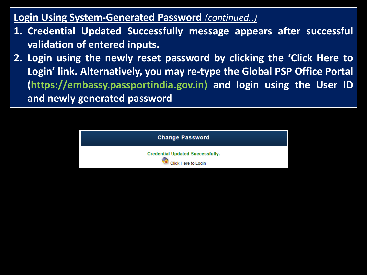**Login Using System-Generated Password** *(continued..)*

- **1. Credential Updated Successfully message appears after successful validation of entered inputs.**
- **2. Login using the newly reset password by clicking the 'Click Here to Login' link. Alternatively, you may re-type the Global PSP Office Portal (https://embassy.passportindia.gov.in) and login using the User ID and newly generated password**

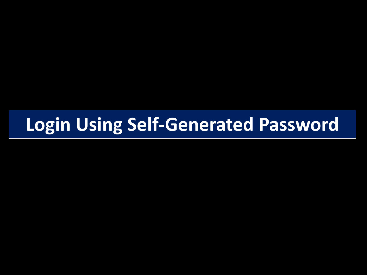### **Login Using Self-Generated Password**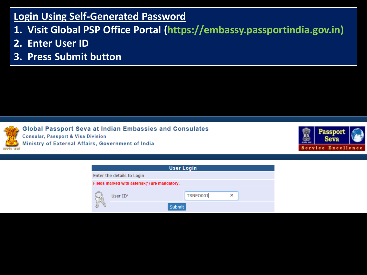#### **Login Using Self-Generated Password**

- **1. Visit Global PSP Office Portal (https://embassy.passportindia.gov.in)**
- **2. Enter User ID**
- **3. Press Submit button**

**Global Passport Seva at Indian Embassies and Consulates Consular, Passport & Visa Division** Ministry of External Affairs, Government of India



| <b>User Login</b>                             |             |          |   |  |  |
|-----------------------------------------------|-------------|----------|---|--|--|
| Enter the details to Login                    |             |          |   |  |  |
| Fields marked with asterisk(*) are mandatory. |             |          |   |  |  |
|                                               |             |          |   |  |  |
| G                                             | User $ID^*$ | TRNEO001 | × |  |  |
| Submit                                        |             |          |   |  |  |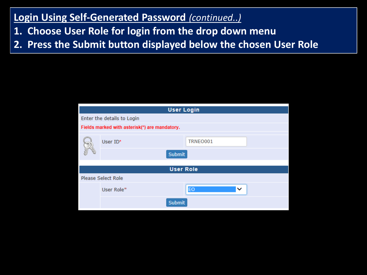#### **Login Using Self-Generated Password** *(continued..)*

- **1. Choose User Role for login from the drop down menu**
- **2. Press the Submit button displayed below the chosen User Role**

| <b>User Login</b>                             |                  |  |  |  |
|-----------------------------------------------|------------------|--|--|--|
| Enter the details to Login                    |                  |  |  |  |
| Fields marked with asterisk(*) are mandatory. |                  |  |  |  |
| User ID*                                      | TRNEO001         |  |  |  |
| <b>Submit</b>                                 |                  |  |  |  |
|                                               | <b>User Role</b> |  |  |  |
| <b>Please Select Role</b>                     |                  |  |  |  |
|                                               |                  |  |  |  |
| User Role*                                    | EO<br>v          |  |  |  |
| <b>Submit</b>                                 |                  |  |  |  |
|                                               |                  |  |  |  |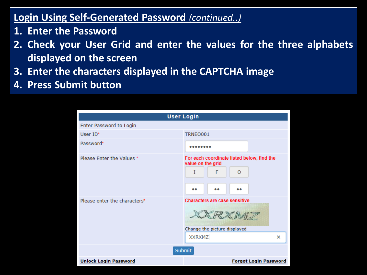#### **Login Using Self-Generated Password** *(continued..)*

- **1. Enter the Password**
- **2. Check your User Grid and enter the values for the three alphabets displayed on the screen**
- **3. Enter the characters displayed in the CAPTCHA image**
- **4. Press Submit button**

| <b>User Login</b>            |                                                                                                      |  |  |  |
|------------------------------|------------------------------------------------------------------------------------------------------|--|--|--|
| Enter Password to Login      |                                                                                                      |  |  |  |
| User ID*                     | TRNEO001                                                                                             |  |  |  |
| Password*                    |                                                                                                      |  |  |  |
| Please Enter the Values *    | For each coordinate listed below, find the<br>value on the grid<br>F<br>I<br>O<br><br><br>           |  |  |  |
| Please enter the characters* | <b>Characters are case sensitive</b><br>XXRXMZ<br>Change the picture displayed<br><b>XXRXMZ</b><br>× |  |  |  |
|                              | <b>Submit</b>                                                                                        |  |  |  |
| <b>Unlock Login Password</b> | <b>Forgot Login Password</b>                                                                         |  |  |  |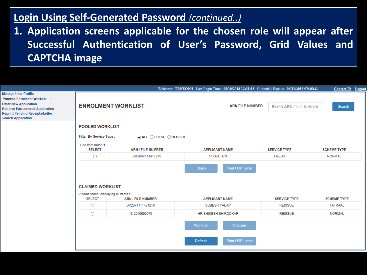#### **Login Using Self-Generated Password** *(continued..)*

**1. Application screens applicable for the chosen role will appear after Successful Authentication of User's Password, Grid Values and CAPTCHA image**

|                                                                                                                                                                                                               |                                                        |                                                        | Welcome: TRNEO001 Last Login Time: 05/10/2018 12:31:18 Credential Expires: 06/11/2018 07:25:23 |                                | <b>Contact Us Logou</b> |
|---------------------------------------------------------------------------------------------------------------------------------------------------------------------------------------------------------------|--------------------------------------------------------|--------------------------------------------------------|------------------------------------------------------------------------------------------------|--------------------------------|-------------------------|
| <b>Manage User Profile</b><br>Process Enrolment Worklist ~<br><b>Enter New Application</b><br><b>Retrieve Part-entered Application</b><br><b>Reprint Pending Receipts/Letter</b><br><b>Search Application</b> | <b>ENROLMENT WORKLIST</b>                              |                                                        | <b>ARN/FILE NUMBER</b>                                                                         | <b>ENTER ARN / FILE NUMBER</b> | Search                  |
|                                                                                                                                                                                                               | <b>POOLED WORKLIST</b>                                 |                                                        |                                                                                                |                                |                         |
|                                                                                                                                                                                                               | <b>Filter By Service Type:</b>                         | $\circledcirc$ ALL $\bigcirc$ FRESH $\bigcirc$ REISSUE |                                                                                                |                                |                         |
|                                                                                                                                                                                                               | One item found.1<br><b>SELECT</b>                      | <b>ARN / FILE NUMBER</b>                               | <b>APPLICANT NAME</b>                                                                          | <b>SERVICE TYPE</b>            | <b>SCHEME TYPE</b>      |
|                                                                                                                                                                                                               | UK2064111417218<br>О                                   |                                                        | <b>VIKAS JAIN</b>                                                                              | <b>FRESH</b>                   | <b>NORMAL</b>           |
|                                                                                                                                                                                                               | <b>CLAIMED WORKLIST</b>                                |                                                        | Claim<br><b>Print OSP Letter</b>                                                               |                                |                         |
|                                                                                                                                                                                                               | 2 items found, displaying all items.1<br><b>SELECT</b> | <b>ARN / FILE NUMBER</b>                               | <b>APPLICANT NAME</b>                                                                          | <b>SERVICE TYPE</b>            | <b>SCHEME TYPE</b>      |
|                                                                                                                                                                                                               | O                                                      | UK2074111421218                                        | <b>SUBESH YADAV</b>                                                                            | <b>REISSUE</b>                 | <b>TATKAAL</b>          |
|                                                                                                                                                                                                               | O                                                      | 18-2040000075                                          | <b>HRISHIKESH SHIRODKAR</b>                                                                    | <b>REISSUE</b>                 | <b>NORMAL</b>           |
|                                                                                                                                                                                                               |                                                        |                                                        | Unclaim<br>Work On<br><b>Print OSP Letter</b><br>Refresh                                       |                                |                         |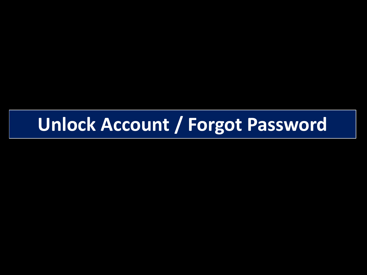## **Unlock Account / Forgot Password**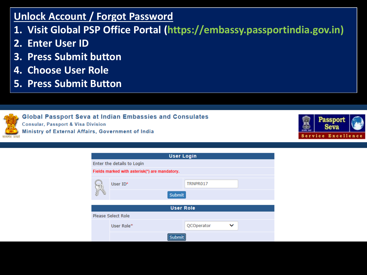#### **Unlock Account / Forgot Password**

- **1. Visit Global PSP Office Portal (https://embassy.passportindia.gov.in)**
- **2. Enter User ID**
- **3. Press Submit button**
- **4. Choose User Role**
- **5. Press Submit Button**



**Global Passport Seva at Indian Embassies and Consulates Consular, Passport & Visa Division** 

Ministry of External Affairs, Government of India



|                  | <b>User Login</b>                             |                 |  |  |  |  |
|------------------|-----------------------------------------------|-----------------|--|--|--|--|
|                  | Enter the details to Login                    |                 |  |  |  |  |
|                  | Fields marked with asterisk(*) are mandatory. |                 |  |  |  |  |
|                  | User $ID^*$                                   | TRNPR017        |  |  |  |  |
|                  | <b>Submit</b>                                 |                 |  |  |  |  |
| <b>User Role</b> |                                               |                 |  |  |  |  |
|                  | <b>Please Select Role</b>                     |                 |  |  |  |  |
|                  | User Role*                                    | QCOperator<br>ີ |  |  |  |  |
|                  |                                               |                 |  |  |  |  |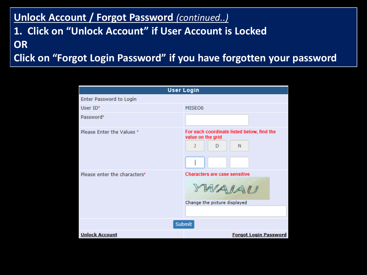#### **Unlock Account / Forgot Password** *(continued..)* **1. Click on "Unlock Account" if User Account is Locked OR Click on "Forgot Login Password" if you have forgotten your password**

| <b>User Login</b>            |                                                                           |  |  |  |
|------------------------------|---------------------------------------------------------------------------|--|--|--|
| Enter Password to Login      |                                                                           |  |  |  |
| User $ID^*$                  | MISE06                                                                    |  |  |  |
| Password*                    |                                                                           |  |  |  |
| Please Enter the Values *    | For each coordinate listed below, find the<br>value on the grid<br>N<br>D |  |  |  |
| Please enter the characters* | Characters are case sensitive<br>WAIAU<br>Change the picture displayed    |  |  |  |
| <b>Submit</b>                |                                                                           |  |  |  |
| <b>Unlock Account</b>        | <b>Forgot Login Password</b>                                              |  |  |  |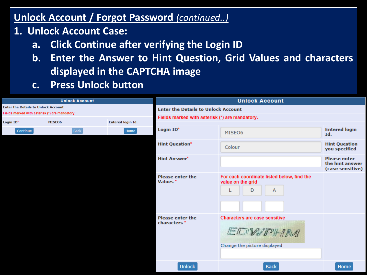#### **Unlock Account / Forgot Password** *(continued..)*

- **1. Unlock Account Case:**
	- **a. Click Continue after verifying the Login ID**
	- **b. Enter the Answer to Hint Question, Grid Values and characters displayed in the CAPTCHA image**
	- **c. Press Unlock button**

| <b>Unlock Account</b>                      |                                                | <b>Unlock Account</b>                      |                                                    |                                                                                |                                                            |
|--------------------------------------------|------------------------------------------------|--------------------------------------------|----------------------------------------------------|--------------------------------------------------------------------------------|------------------------------------------------------------|
| <b>Enter the Details to Unlock Account</b> |                                                | <b>Enter the Details to Unlock Account</b> |                                                    |                                                                                |                                                            |
|                                            | Fields marked with asterisk (*) are mandatory. |                                            | Fields marked with asterisk (*) are mandatory.     |                                                                                |                                                            |
| Login ID*                                  | MISE06                                         | <b>Entered login Id.</b>                   |                                                    |                                                                                |                                                            |
|                                            | <b>Back</b><br>Continue                        | Home                                       | Login ID*                                          | MISE06                                                                         | <b>Entered login</b><br>Id.                                |
|                                            |                                                |                                            | <b>Hint Question*</b>                              | Colour                                                                         | <b>Hint Question</b><br>you specified                      |
|                                            |                                                |                                            | <b>Hint Answer*</b>                                |                                                                                | <b>Please enter</b><br>the hint answer<br>(case sensitive) |
|                                            |                                                |                                            | <b>Please enter the</b><br>Values *                | For each coordinate listed below, find the<br>value on the grid<br>D<br>A      |                                                            |
|                                            |                                                |                                            | <b>Please enter the</b><br>characters <sup>*</sup> | <b>Characters are case sensitive</b><br>EDWPHM<br>Change the picture displayed |                                                            |
|                                            |                                                |                                            | <b>Unlock</b>                                      | <b>Back</b>                                                                    | Home                                                       |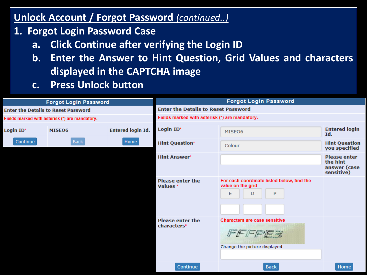#### **Unlock Account / Forgot Password** *(continued..)*

- **1. Forgot Login Password Case**
	- **a. Click Continue after verifying the Login ID**
	- **b. Enter the Answer to Hint Question, Grid Values and characters displayed in the CAPTCHA image**
	- **c. Press Unlock button**

| <b>Forgot Login Password</b>                   |             | <b>Forgot Login Password</b>               |                                                |                                                                 |                                       |  |
|------------------------------------------------|-------------|--------------------------------------------|------------------------------------------------|-----------------------------------------------------------------|---------------------------------------|--|
| <b>Enter the Details to Reset Password</b>     |             | <b>Enter the Details to Reset Password</b> |                                                |                                                                 |                                       |  |
| Fields marked with asterisk (*) are mandatory. |             |                                            | Fields marked with asterisk (*) are mandatory. |                                                                 |                                       |  |
| Login ID*                                      | MISE06      | <b>Entered login Id.</b>                   | Login ID*                                      | MISE06                                                          | <b>Entered login</b><br>Id.           |  |
| Continue                                       | <b>Back</b> | Home                                       | <b>Hint Question*</b>                          | Colour                                                          | <b>Hint Question</b><br>you specified |  |
|                                                |             |                                            | <b>Hint Answer*</b>                            |                                                                 | <b>Please enter</b><br>the hint       |  |
|                                                |             |                                            |                                                |                                                                 | answer (case<br>sensitive)            |  |
|                                                |             |                                            | <b>Please enter the</b><br>Values *            | For each coordinate listed below, find the<br>value on the grid |                                       |  |
|                                                |             |                                            |                                                | E<br>P<br>D                                                     |                                       |  |
|                                                |             |                                            |                                                |                                                                 |                                       |  |
|                                                |             |                                            |                                                |                                                                 |                                       |  |
|                                                |             |                                            | <b>Please enter the</b><br>characters*         | <b>Characters are case sensitive</b>                            |                                       |  |
|                                                |             |                                            |                                                | FFFFFFF                                                         |                                       |  |
|                                                |             |                                            |                                                | Change the picture displayed                                    |                                       |  |
|                                                |             |                                            |                                                |                                                                 |                                       |  |
|                                                |             |                                            | Continue                                       | <b>Back</b>                                                     | Home                                  |  |